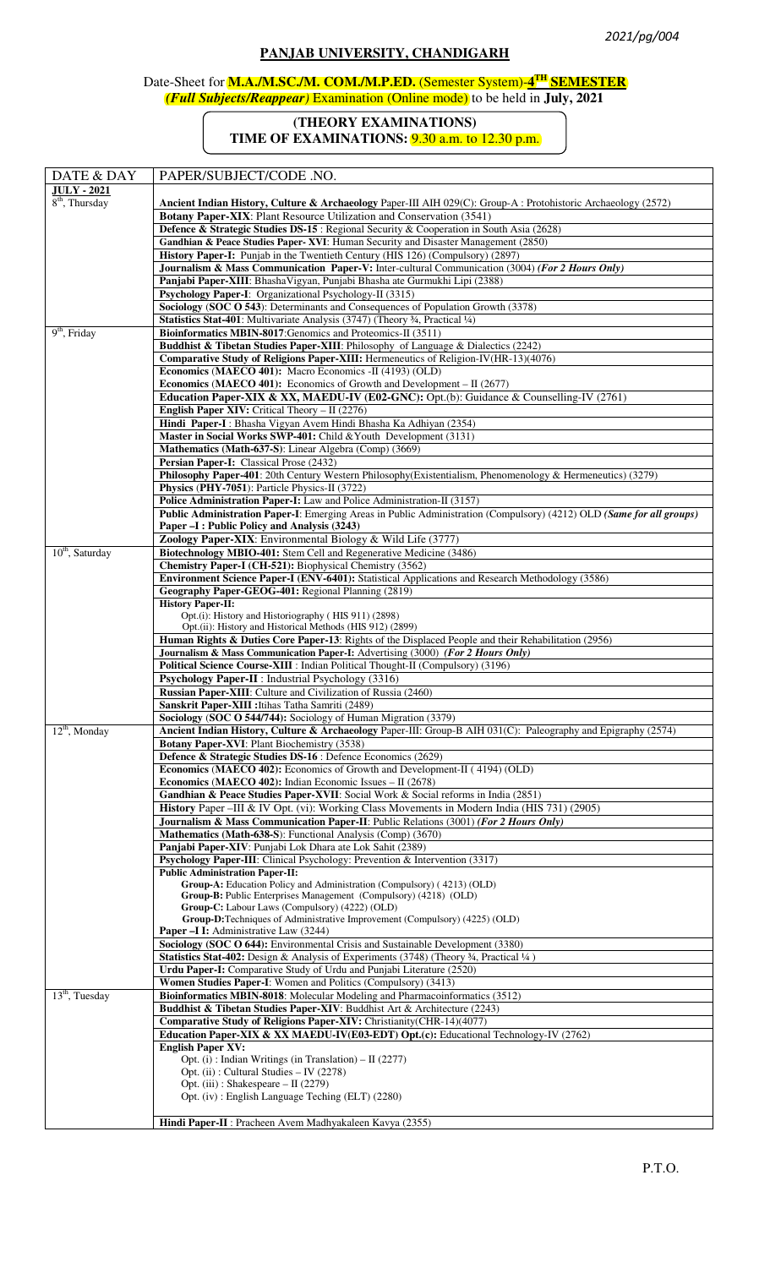## **PANJAB UNIVERSITY, CHANDIGARH**

## Date-Sheet for **M.A./M.SC./M. COM./M.P.ED.** (Semester System)-**4 TH SEMESTER** *(Full Subjects/Reappear)* Examination (Online mode) to be held in **July, 2021**

## **(THEORY EXAMINATIONS)**

**TIME OF EXAMINATIONS:** 9.30 a.m. to 12.30 p.m.

| DATE & DAY                             | PAPER/SUBJECT/CODE .NO.                                                                                                                                           |
|----------------------------------------|-------------------------------------------------------------------------------------------------------------------------------------------------------------------|
| <b>JULY - 2021</b><br>$8th$ , Thursday | Ancient Indian History, Culture & Archaeology Paper-III AIH 029(C): Group-A : Protohistoric Archaeology (2572)                                                    |
|                                        | Botany Paper-XIX: Plant Resource Utilization and Conservation (3541)                                                                                              |
|                                        | <b>Defence &amp; Strategic Studies DS-15</b> : Regional Security & Cooperation in South Asia (2628)                                                               |
|                                        | Gandhian & Peace Studies Paper- XVI: Human Security and Disaster Management (2850)                                                                                |
|                                        | History Paper-I: Punjab in the Twentieth Century (HIS 126) (Compulsory) (2897)                                                                                    |
|                                        | Journalism & Mass Communication Paper-V: Inter-cultural Communication (3004) (For 2 Hours Only)                                                                   |
|                                        | Panjabi Paper-XIII: BhashaVigyan, Punjabi Bhasha ate Gurmukhi Lipi (2388)<br>Psychology Paper-I: Organizational Psychology-II (3315)                              |
|                                        | Sociology (SOC O 543): Determinants and Consequences of Population Growth (3378)                                                                                  |
|                                        | Statistics Stat-401: Multivariate Analysis (3747) (Theory 34, Practical 1/4)                                                                                      |
| $9th$ , Friday                         | Bioinformatics MBIN-8017: Genomics and Proteomics-II (3511)                                                                                                       |
|                                        | Buddhist & Tibetan Studies Paper-XIII: Philosophy of Language & Dialectics (2242)                                                                                 |
|                                        | Comparative Study of Religions Paper-XIII: Hermeneutics of Religion-IV(HR-13)(4076)<br>Economics (MAECO 401): Macro Economics -II (4193) (OLD)                    |
|                                        | <b>Economics (MAECO 401):</b> Economics of Growth and Development $-$ II (2677)                                                                                   |
|                                        | Education Paper-XIX & XX, MAEDU-IV (E02-GNC): Opt.(b): Guidance & Counselling-IV (2761)                                                                           |
|                                        | <b>English Paper XIV:</b> Critical Theory - II (2276)                                                                                                             |
|                                        | Hindi Paper-I: Bhasha Vigyan Avem Hindi Bhasha Ka Adhiyan (2354)                                                                                                  |
|                                        | Master in Social Works SWP-401: Child & Youth Development (3131)                                                                                                  |
|                                        | Mathematics (Math-637-S): Linear Algebra (Comp) (3669)<br>Persian Paper-I: Classical Prose (2432)                                                                 |
|                                        | Philosophy Paper-401: 20th Century Western Philosophy(Existentialism, Phenomenology & Hermeneutics) (3279)                                                        |
|                                        | Physics (PHY-7051): Particle Physics-II (3722)                                                                                                                    |
|                                        | Police Administration Paper-I: Law and Police Administration-II (3157)                                                                                            |
|                                        | Public Administration Paper-I: Emerging Areas in Public Administration (Compulsory) (4212) OLD (Same for all groups)                                              |
|                                        | Paper -I : Public Policy and Analysis (3243)                                                                                                                      |
| $10th$ , Saturday                      | Zoology Paper-XIX: Environmental Biology & Wild Life (3777)<br>Biotechnology MBIO-401: Stem Cell and Regenerative Medicine (3486)                                 |
|                                        | Chemistry Paper-I (CH-521): Biophysical Chemistry (3562)                                                                                                          |
|                                        | Environment Science Paper-I (ENV-6401): Statistical Applications and Research Methodology (3586)                                                                  |
|                                        | Geography Paper-GEOG-401: Regional Planning (2819)                                                                                                                |
|                                        | <b>History Paper-II:</b><br>Opt.(i): History and Historiography (HIS 911) (2898)                                                                                  |
|                                        | Opt.(ii): History and Historical Methods (HIS 912) (2899)                                                                                                         |
|                                        | Human Rights & Duties Core Paper-13: Rights of the Displaced People and their Rehabilitation (2956)                                                               |
|                                        | Journalism & Mass Communication Paper-I: Advertising (3000) (For 2 Hours Only)                                                                                    |
|                                        | Political Science Course-XIII : Indian Political Thought-II (Compulsory) (3196)                                                                                   |
|                                        | Psychology Paper-II : Industrial Psychology (3316)<br>Russian Paper-XIII: Culture and Civilization of Russia (2460)                                               |
|                                        | Sanskrit Paper-XIII : Itihas Tatha Samriti (2489)                                                                                                                 |
|                                        | Sociology (SOC O 544/744): Sociology of Human Migration (3379)                                                                                                    |
| $12th$ , Monday                        | Ancient Indian History, Culture & Archaeology Paper-III: Group-B AIH 031(C): Paleography and Epigraphy (2574)                                                     |
|                                        | <b>Botany Paper-XVI:</b> Plant Biochemistry (3538)                                                                                                                |
|                                        | Defence & Strategic Studies DS-16 : Defence Economics (2629)<br><b>Economics (MAECO 402):</b> Economics of Growth and Development-II (4194) (OLD)                 |
|                                        | <b>Economics (MAECO 402):</b> Indian Economic Issues $-$ II (2678)                                                                                                |
|                                        | Gandhian & Peace Studies Paper-XVII: Social Work & Social reforms in India (2851)                                                                                 |
|                                        | History Paper - III & IV Opt. (vi): Working Class Movements in Modern India (HIS 731) (2905)                                                                      |
|                                        | <b>Journalism &amp; Mass Communication Paper-II:</b> Public Relations (3001) (For 2 Hours Only)                                                                   |
|                                        | Mathematics (Math-638-S): Functional Analysis (Comp) (3670)                                                                                                       |
|                                        | Panjabi Paper-XIV: Punjabi Lok Dhara ate Lok Sahit (2389)<br>Psychology Paper-III: Clinical Psychology: Prevention & Intervention (3317)                          |
|                                        | <b>Public Administration Paper-II:</b>                                                                                                                            |
|                                        | Group-A: Education Policy and Administration (Compulsory) (4213) (OLD)                                                                                            |
|                                        | Group-B: Public Enterprises Management (Compulsory) (4218) (OLD)<br>Group-C: Labour Laws (Compulsory) (4222) (OLD)                                                |
|                                        | Group-D:Techniques of Administrative Improvement (Compulsory) (4225) (OLD)                                                                                        |
|                                        | <b>Paper –I I:</b> Administrative Law (3244)                                                                                                                      |
|                                        | Sociology (SOC O 644): Environmental Crisis and Sustainable Development (3380)                                                                                    |
|                                        | Statistics Stat-402: Design & Analysis of Experiments (3748) (Theory 3/4, Practical 1/4)<br>Urdu Paper-I: Comparative Study of Urdu and Punjabi Literature (2520) |
|                                        | Women Studies Paper-I: Women and Politics (Compulsory) (3413)                                                                                                     |
| $13th$ , Tuesday                       | <b>Bioinformatics MBIN-8018:</b> Molecular Modeling and Pharmacoinformatics (3512)                                                                                |
|                                        | Buddhist & Tibetan Studies Paper-XIV: Buddhist Art & Architecture (2243)                                                                                          |
|                                        | Comparative Study of Religions Paper-XIV: Christianity(CHR-14)(4077)                                                                                              |
|                                        | Education Paper-XIX & XX MAEDU-IV(E03-EDT) Opt.(c): Educational Technology-IV (2762)<br><b>English Paper XV:</b>                                                  |
|                                        | Opt. (i): Indian Writings (in Translation) $-$ II (2277)                                                                                                          |
|                                        | Opt. (ii) : Cultural Studies $-$ IV (2278)                                                                                                                        |
|                                        | Opt. (iii) : Shakespeare $-$ II (2279)                                                                                                                            |
|                                        | Opt. (iv): English Language Teching (ELT) (2280)                                                                                                                  |
|                                        | Hindi Paper-II : Pracheen Avem Madhyakaleen Kavya (2355)                                                                                                          |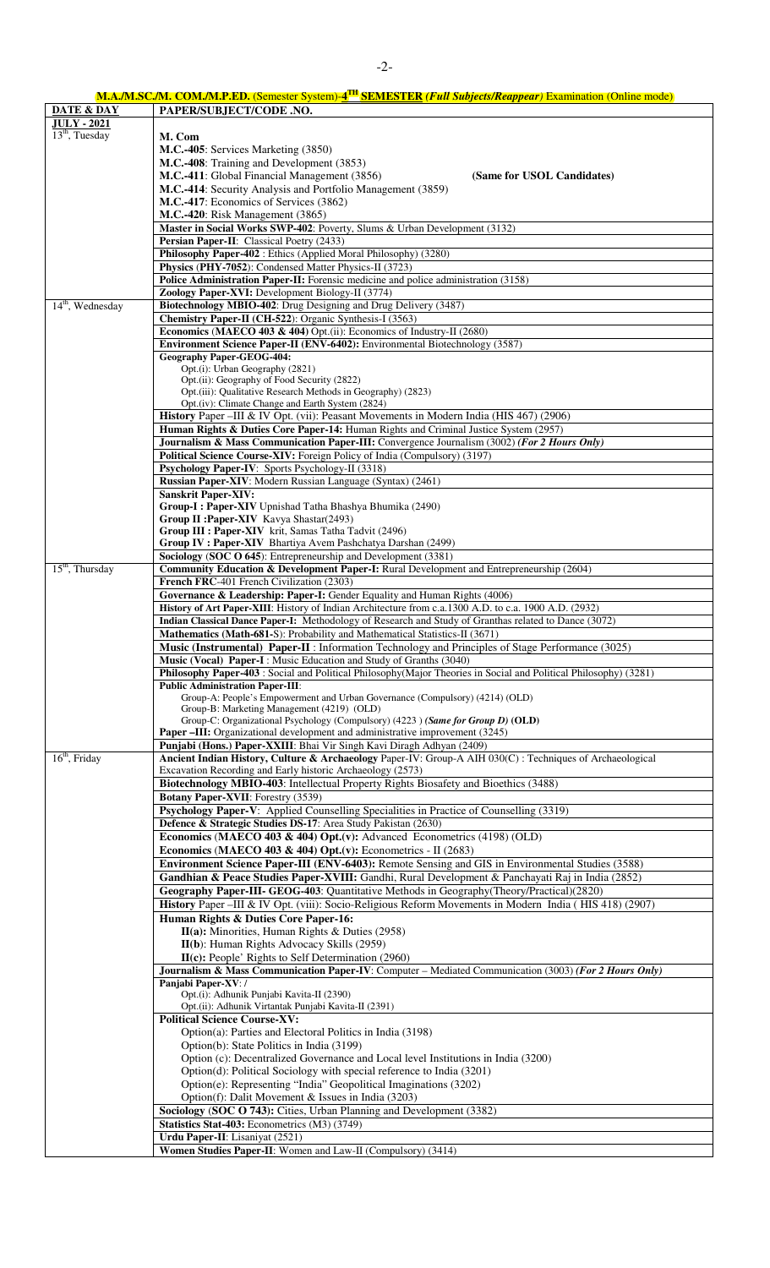| <b>M.A./M.SC./M. COM./M.P.ED.</b> (Semester System)-4 <sup>TH</sup> SEMESTER <i>(Full Subjects/Reappear)</i> Examination (Online mode) |  |
|----------------------------------------------------------------------------------------------------------------------------------------|--|
|                                                                                                                                        |  |

| <b>DATE &amp; DAY</b> | PAPER/SUBJECT/CODE .NO.                                                                                                                                                 |
|-----------------------|-------------------------------------------------------------------------------------------------------------------------------------------------------------------------|
| <b>JULY - 2021</b>    |                                                                                                                                                                         |
| $13th$ , Tuesday      | M. Com                                                                                                                                                                  |
|                       | M.C.-405: Services Marketing (3850)<br>M.C.-408: Training and Development (3853)                                                                                        |
|                       | M.C.-411: Global Financial Management (3856)<br>(Same for USOL Candidates)                                                                                              |
|                       | M.C.-414: Security Analysis and Portfolio Management (3859)                                                                                                             |
|                       | M.C.-417: Economics of Services (3862)                                                                                                                                  |
|                       | M.C.-420: Risk Management (3865)                                                                                                                                        |
|                       | Master in Social Works SWP-402: Poverty, Slums & Urban Development (3132)                                                                                               |
|                       | Persian Paper-II: Classical Poetry (2433)                                                                                                                               |
|                       | Philosophy Paper-402 : Ethics (Applied Moral Philosophy) (3280)                                                                                                         |
|                       | Physics (PHY-7052): Condensed Matter Physics-II (3723)<br>Police Administration Paper-II: Forensic medicine and police administration (3158)                            |
|                       | Zoology Paper-XVI: Development Biology-II (3774)                                                                                                                        |
| $14th$ , Wednesday    | Biotechnology MBIO-402: Drug Designing and Drug Delivery (3487)                                                                                                         |
|                       | Chemistry Paper-II (CH-522): Organic Synthesis-I (3563)                                                                                                                 |
|                       | Economics (MAECO 403 & 404) Opt.(ii): Economics of Industry-II (2680)                                                                                                   |
|                       | Environment Science Paper-II (ENV-6402): Environmental Biotechnology (3587)                                                                                             |
|                       | <b>Geography Paper-GEOG-404:</b>                                                                                                                                        |
|                       | Opt.(i): Urban Geography (2821)<br>Opt.(ii): Geography of Food Security (2822)                                                                                          |
|                       | Opt.(iii): Qualitative Research Methods in Geography) (2823)                                                                                                            |
|                       | Opt.(iv): Climate Change and Earth System (2824)                                                                                                                        |
|                       | History Paper -III & IV Opt. (vii): Peasant Movements in Modern India (HIS 467) (2906)                                                                                  |
|                       | Human Rights & Duties Core Paper-14: Human Rights and Criminal Justice System (2957)                                                                                    |
|                       | Journalism & Mass Communication Paper-III: Convergence Journalism (3002) (For 2 Hours Only)                                                                             |
|                       | Political Science Course-XIV: Foreign Policy of India (Compulsory) (3197)<br>Psychology Paper-IV: Sports Psychology-II (3318)                                           |
|                       | Russian Paper-XIV: Modern Russian Language (Syntax) (2461)                                                                                                              |
|                       | <b>Sanskrit Paper-XIV:</b>                                                                                                                                              |
|                       | Group-I: Paper-XIV Upnishad Tatha Bhashya Bhumika (2490)                                                                                                                |
|                       | Group II : Paper-XIV Kavya Shastar(2493)                                                                                                                                |
|                       | Group III : Paper-XIV krit, Samas Tatha Tadvit (2496)                                                                                                                   |
|                       | Group IV : Paper-XIV Bhartiya Avem Pashchatya Darshan (2499)<br>Sociology (SOC O 645): Entrepreneurship and Development (3381)                                          |
| $15th$ , Thursday     | Community Education & Development Paper-I: Rural Development and Entrepreneurship (2604)                                                                                |
|                       | French FRC-401 French Civilization (2303)                                                                                                                               |
|                       | Governance & Leadership: Paper-I: Gender Equality and Human Rights (4006)                                                                                               |
|                       | History of Art Paper-XIII: History of Indian Architecture from c.a.1300 A.D. to c.a. 1900 A.D. (2932)                                                                   |
|                       | Indian Classical Dance Paper-I: Methodology of Research and Study of Granthas related to Dance (3072)                                                                   |
|                       | Mathematics (Math-681-S): Probability and Mathematical Statistics-II (3671)                                                                                             |
|                       | Music (Instrumental) Paper-II : Information Technology and Principles of Stage Performance (3025)<br>Music (Vocal) Paper-I: Music Education and Study of Granths (3040) |
|                       | <b>Philosophy Paper-403</b> : Social and Political Philosophy (Major Theories in Social and Political Philosophy) (3281)                                                |
|                       | <b>Public Administration Paper-III:</b>                                                                                                                                 |
|                       | Group-A: People's Empowerment and Urban Governance (Compulsory) (4214) (OLD)                                                                                            |
|                       | Group-B: Marketing Management (4219) (OLD)                                                                                                                              |
|                       | Group-C: Organizational Psychology (Compulsory) (4223) (Same for Group D) (OLD)<br><b>Paper –III:</b> Organizational development and administrative improvement (3245)  |
|                       | Punjabi (Hons.) Paper-XXIII: Bhai Vir Singh Kavi Diragh Adhyan (2409)                                                                                                   |
| $16th$ , Friday       | Ancient Indian History, Culture & Archaeology Paper-IV: Group-A AIH 030(C) : Techniques of Archaeological                                                               |
|                       | Excavation Recording and Early historic Archaeology (2573)                                                                                                              |
|                       | Biotechnology MBIO-403: Intellectual Property Rights Biosafety and Bioethics (3488)                                                                                     |
|                       | Botany Paper-XVII: Forestry (3539)                                                                                                                                      |
|                       | Psychology Paper-V: Applied Counselling Specialities in Practice of Counselling (3319)<br>Defence & Strategic Studies DS-17: Area Study Pakistan (2630)                 |
|                       | Economics (MAECO 403 & 404) Opt.(v): Advanced Econometrics (4198) (OLD)                                                                                                 |
|                       | Economics (MAECO 403 & 404) Opt.(v): Econometrics - II (2683)                                                                                                           |
|                       | Environment Science Paper-III (ENV-6403): Remote Sensing and GIS in Environmental Studies (3588)                                                                        |
|                       | Gandhian & Peace Studies Paper-XVIII: Gandhi, Rural Development & Panchayati Raj in India (2852)                                                                        |
|                       | Geography Paper-III- GEOG-403: Quantitative Methods in Geography (Theory/Practical) (2820)                                                                              |
|                       | History Paper -III & IV Opt. (viii): Socio-Religious Reform Movements in Modern India (HIS 418) (2907)                                                                  |
|                       | Human Rights & Duties Core Paper-16:                                                                                                                                    |
|                       | II(a): Minorities, Human Rights & Duties (2958)                                                                                                                         |
|                       | II(b): Human Rights Advocacy Skills (2959)                                                                                                                              |
|                       | $II(c): People' Rights to Self Determination (2960)$<br>Journalism & Mass Communication Paper-IV: Computer – Mediated Communication (3003) (For 2 Hours Only)           |
|                       | Panjabi Paper-XV: /                                                                                                                                                     |
|                       | Opt.(i): Adhunik Punjabi Kavita-II (2390)                                                                                                                               |
|                       | Opt.(ii): Adhunik Virtantak Punjabi Kavita-II (2391)                                                                                                                    |
|                       | <b>Political Science Course-XV:</b>                                                                                                                                     |
|                       | Option(a): Parties and Electoral Politics in India (3198)                                                                                                               |
|                       | Option(b): State Politics in India (3199)<br>Option (c): Decentralized Governance and Local level Institutions in India (3200)                                          |
|                       | Option(d): Political Sociology with special reference to India (3201)                                                                                                   |
|                       | Option(e): Representing "India" Geopolitical Imaginations (3202)                                                                                                        |
|                       | Option(f): Dalit Movement & Issues in India (3203)                                                                                                                      |
|                       | Sociology (SOC O 743): Cities, Urban Planning and Development (3382)                                                                                                    |
|                       | Statistics Stat-403: Econometrics (M3) (3749)                                                                                                                           |
|                       | Urdu Paper-II: Lisaniyat (2521)                                                                                                                                         |
|                       | Women Studies Paper-II: Women and Law-II (Compulsory) (3414)                                                                                                            |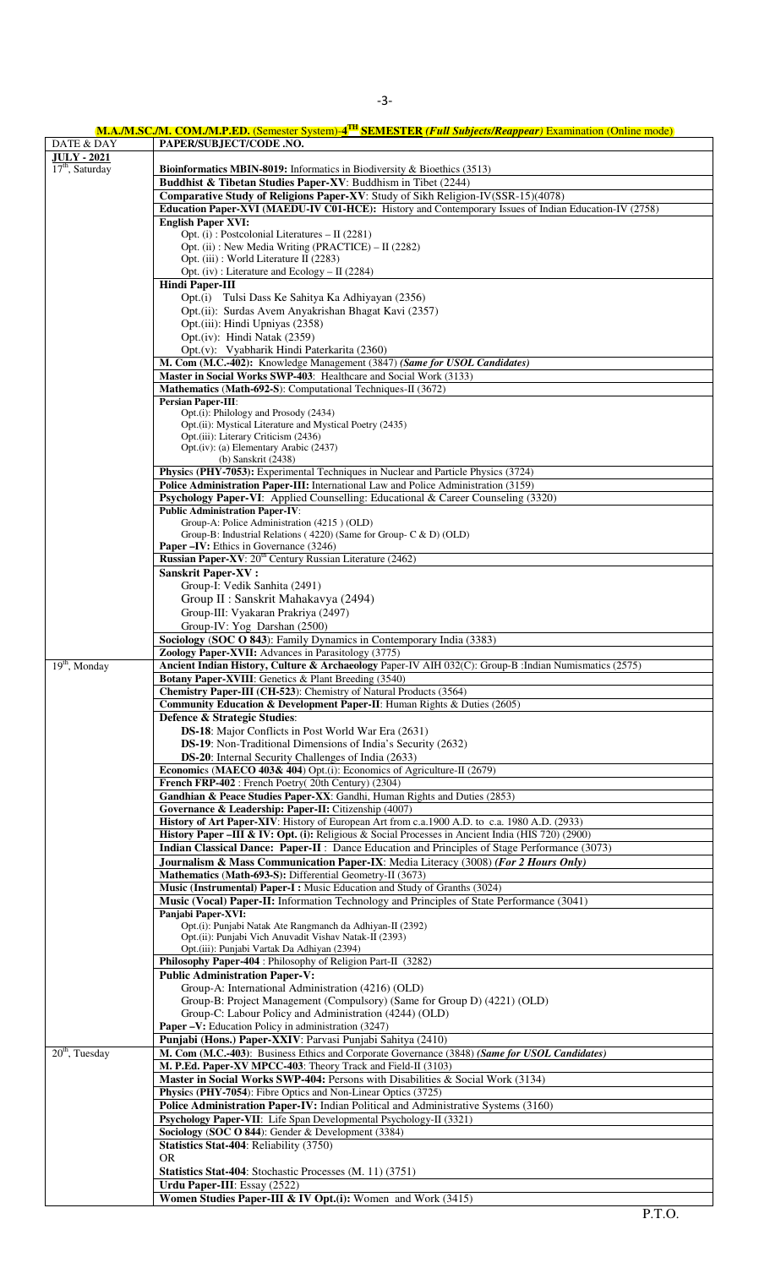|                             | M.A./M.SC./M. COM./M.P.ED. (Semester System)-4 <sup>TH</sup> SEMESTER (Full Subjects/Reappear) Examination (Online mode) |
|-----------------------------|--------------------------------------------------------------------------------------------------------------------------|
| DATE & DAY                  | PAPER/SUBJECT/CODE .NO.                                                                                                  |
| <b>JULY - 2021</b>          |                                                                                                                          |
| 17 <sup>th</sup> , Saturday | Bioinformatics MBIN-8019: Informatics in Biodiversity & Bioethics (3513)                                                 |
|                             | Buddhist & Tibetan Studies Paper-XV: Buddhism in Tibet (2244)                                                            |
|                             | Comparative Study of Religions Paper-XV: Study of Sikh Religion-IV(SSR-15)(4078)                                         |
|                             | Education Paper-XVI (MAEDU-IV C01-HCE): History and Contemporary Issues of Indian Education-IV (2758)                    |
|                             | <b>English Paper XVI:</b>                                                                                                |
|                             | Opt. (i): Postcolonial Literatures - II (2281)                                                                           |
|                             | Opt. (ii): New Media Writing (PRACTICE) - II (2282)                                                                      |
|                             | Opt. (iii): World Literature II (2283)                                                                                   |
|                             | Opt. (iv) : Literature and $Ecology - II$ (2284)                                                                         |
|                             | <b>Hindi Paper-III</b>                                                                                                   |
|                             | Opt.(i) Tulsi Dass Ke Sahitya Ka Adhiyayan (2356)                                                                        |
|                             | Opt.(ii): Surdas Avem Anyakrishan Bhagat Kavi (2357)                                                                     |
|                             | Opt.(iii): Hindi Upniyas (2358)                                                                                          |
|                             | Opt.(iv): Hindi Natak (2359)                                                                                             |
|                             | Opt.(v): Vyabharik Hindi Paterkarita (2360)                                                                              |
|                             | M. Com (M.C.-402): Knowledge Management (3847) (Same for USOL Candidates)                                                |
|                             | Master in Social Works SWP-403: Healthcare and Social Work (3133)                                                        |
|                             | Mathematics (Math-692-S): Computational Techniques-II (3672)                                                             |
|                             | <b>Persian Paper-III:</b>                                                                                                |
|                             | Opt.(i): Philology and Prosody (2434)                                                                                    |
|                             | Opt.(ii): Mystical Literature and Mystical Poetry (2435)                                                                 |
|                             | Opt.(iii): Literary Criticism (2436)                                                                                     |
|                             | Opt.(iv): (a) Elementary Arabic (2437)                                                                                   |
|                             | (b) Sanskrit (2438)                                                                                                      |
|                             | Physics (PHY-7053): Experimental Techniques in Nuclear and Particle Physics (3724)                                       |
|                             | <b>Police Administration Paper-III:</b> International Law and Police Administration (3159)                               |
|                             | Psychology Paper-VI: Applied Counselling: Educational & Career Counseling (3320)                                         |
|                             | <b>Public Administration Paper-IV:</b>                                                                                   |
|                             | Group-A: Police Administration (4215) (OLD)                                                                              |
|                             | Group-B: Industrial Relations (4220) (Same for Group- C & D) (OLD)                                                       |
|                             | <b>Paper –IV:</b> Ethics in Governance (3246)                                                                            |
|                             | Russian Paper-XV: 20 <sup>th</sup> Century Russian Literature (2462)                                                     |
|                             | <b>Sanskrit Paper-XV:</b>                                                                                                |
|                             | Group-I: Vedik Sanhita (2491)                                                                                            |
|                             | Group II : Sanskrit Mahakavya (2494)                                                                                     |
|                             | Group-III: Vyakaran Prakriya (2497)                                                                                      |
|                             | Group-IV: Yog Darshan (2500)                                                                                             |
|                             | Sociology (SOC O 843): Family Dynamics in Contemporary India (3383)                                                      |
|                             | Zoology Paper-XVII: Advances in Parasitology (3775)                                                                      |
| $19th$ , Monday             | Ancient Indian History, Culture & Archaeology Paper-IV AIH 032(C): Group-B : Indian Numismatics (2575)                   |
|                             | <b>Botany Paper-XVIII</b> : Genetics & Plant Breeding (3540)                                                             |
|                             | <b>Chemistry Paper-III (CH-523):</b> Chemistry of Natural Products (3564)                                                |
|                             | Community Education & Development Paper-II: Human Rights & Duties (2605)                                                 |
|                             | Defence & Strategic Studies:                                                                                             |
|                             | <b>DS-18:</b> Major Conflicts in Post World War Era (2631)                                                               |
|                             | DS-19: Non-Traditional Dimensions of India's Security (2632)                                                             |
|                             | <b>DS-20</b> : Internal Security Challenges of India (2633)                                                              |
|                             | <b>Economics (MAECO 403&amp; 404)</b> Opt.(i): Economics of Agriculture-II (2679)                                        |
|                             | French FRP-402: French Poetry(20th Century) (2304)                                                                       |
|                             | Gandhian & Peace Studies Paper-XX: Gandhi, Human Rights and Duties (2853)                                                |
|                             | Governance & Leadership: Paper-II: Citizenship (4007)                                                                    |
|                             | History of Art Paper-XIV: History of European Art from c.a.1900 A.D. to c.a. 1980 A.D. (2933)                            |
|                             | History Paper -III & IV: Opt. (i): Religious & Social Processes in Ancient India (HIS 720) (2900)                        |
|                             | Indian Classical Dance: Paper-II : Dance Education and Principles of Stage Performance (3073)                            |
|                             | Journalism & Mass Communication Paper-IX: Media Literacy (3008) (For 2 Hours Only)                                       |
|                             | Mathematics (Math-693-S): Differential Geometry-II (3673)                                                                |
|                             | Music (Instrumental) Paper-I: Music Education and Study of Granths (3024)                                                |
|                             |                                                                                                                          |
|                             | <b>Music (Vocal) Paper-II:</b> Information Technology and Principles of State Performance (3041)                         |
|                             | Panjabi Paper-XVI:<br>Opt.(i): Punjabi Natak Ate Rangmanch da Adhiyan-II (2392)                                          |
|                             | Opt.(ii): Punjabi Vich Anuvadit Vishav Natak-II (2393)                                                                   |
|                             | Opt.(iii): Punjabi Vartak Da Adhiyan (2394)                                                                              |
|                             | Philosophy Paper-404 : Philosophy of Religion Part-II (3282)                                                             |
|                             | <b>Public Administration Paper-V:</b>                                                                                    |
|                             | Group-A: International Administration (4216) (OLD)                                                                       |
|                             | Group-B: Project Management (Compulsory) (Same for Group D) (4221) (OLD)                                                 |
|                             | Group-C: Labour Policy and Administration (4244) (OLD)                                                                   |
|                             | Paper -V: Education Policy in administration (3247)                                                                      |
|                             | Punjabi (Hons.) Paper-XXIV: Parvasi Punjabi Sahitya (2410)                                                               |
| $20th$ , Tuesday            | M. Com (M.C.-403): Business Ethics and Corporate Governance (3848) (Same for USOL Candidates)                            |
|                             | M. P.Ed. Paper-XV MPCC-403: Theory Track and Field-II (3103)                                                             |
|                             |                                                                                                                          |
|                             | Master in Social Works SWP-404: Persons with Disabilities & Social Work (3134)                                           |
|                             | Physics (PHY-7054): Fibre Optics and Non-Linear Optics (3725)                                                            |
|                             | Police Administration Paper-IV: Indian Political and Administrative Systems (3160)                                       |
|                             | Psychology Paper-VII: Life Span Developmental Psychology-II (3321)                                                       |
|                             | Sociology (SOC O 844): Gender & Development (3384)                                                                       |
|                             | Statistics Stat-404: Reliability (3750)                                                                                  |
|                             | <b>OR</b>                                                                                                                |
|                             | <b>Statistics Stat-404:</b> Stochastic Processes (M. 11) (3751)                                                          |
|                             | Urdu Paper-III: Essay (2522)                                                                                             |
|                             | Women Studies Paper-III & IV Opt.(i): Women and Work (3415)                                                              |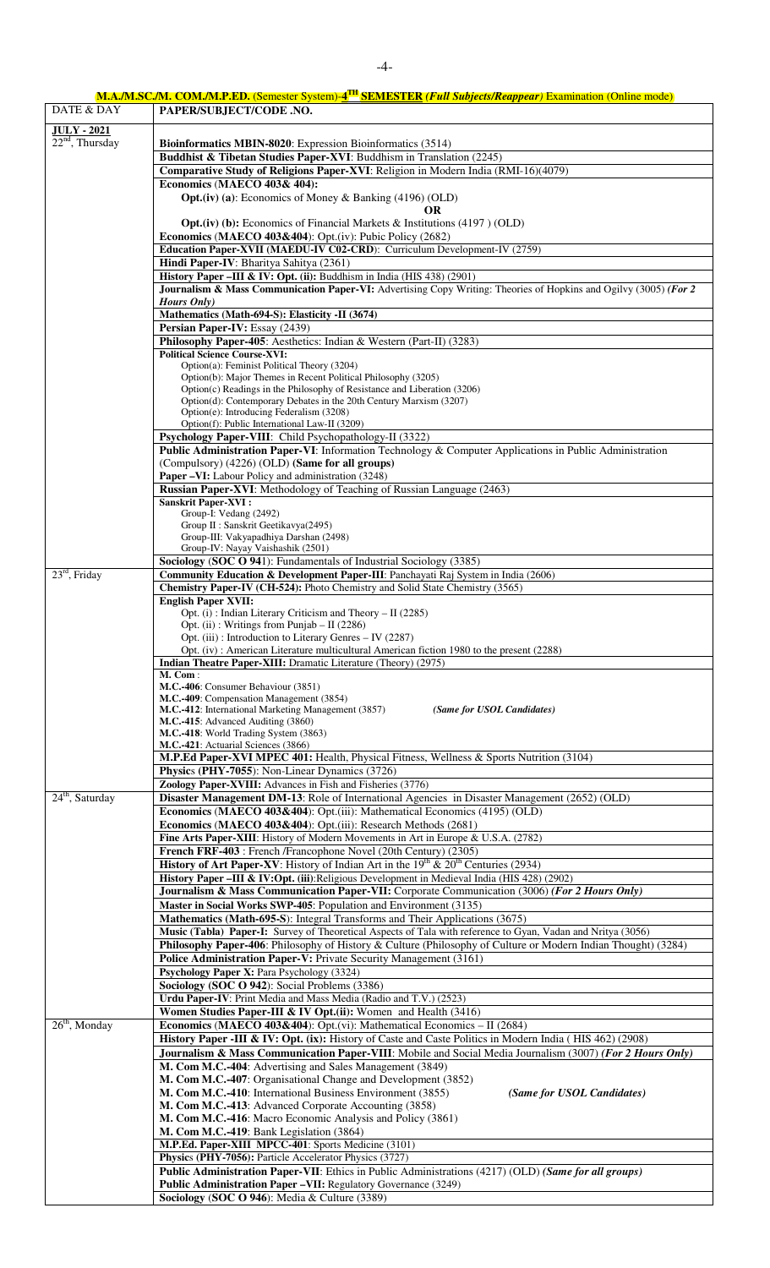| DATE & DAY         | M.A./M.SC./M. COM./M.P.ED. (Semester System)-4 <sup>TH</sup> SEMESTER (Full Subjects/Reappear) Examination (Online mode)                                            |
|--------------------|---------------------------------------------------------------------------------------------------------------------------------------------------------------------|
|                    | PAPER/SUBJECT/CODE .NO.                                                                                                                                             |
| <b>JULY - 2021</b> |                                                                                                                                                                     |
| $22nd$ , Thursday  | Bioinformatics MBIN-8020: Expression Bioinformatics (3514)<br>Buddhist & Tibetan Studies Paper-XVI: Buddhism in Translation (2245)                                  |
|                    | Comparative Study of Religions Paper-XVI: Religion in Modern India (RMI-16)(4079)                                                                                   |
|                    | Economics (MAECO 403& 404):                                                                                                                                         |
|                    | <b>Opt.</b> (iv) (a): Economics of Money & Banking (4196) (OLD)                                                                                                     |
|                    | <b>OR</b>                                                                                                                                                           |
|                    | <b>Opt.</b> (iv) (b): Economics of Financial Markets $\&$ Institutions (4197) (OLD)                                                                                 |
|                    | Economics (MAECO 403&404): Opt.(iv): Pubic Policy (2682)<br>Education Paper-XVII (MAEDU-IV C02-CRD): Curriculum Development-IV (2759)                               |
|                    | Hindi Paper-IV: Bharitya Sahitya (2361)                                                                                                                             |
|                    | History Paper -III & IV: Opt. (ii): Buddhism in India (HIS 438) (2901)                                                                                              |
|                    | Journalism & Mass Communication Paper-VI: Advertising Copy Writing: Theories of Hopkins and Ogilvy (3005) (For 2                                                    |
|                    | <b>Hours</b> Only)                                                                                                                                                  |
|                    | Mathematics (Math-694-S): Elasticity -II (3674)                                                                                                                     |
|                    | Persian Paper-IV: Essay (2439)<br>Philosophy Paper-405: Aesthetics: Indian & Western (Part-II) (3283)                                                               |
|                    | <b>Political Science Course-XVI:</b>                                                                                                                                |
|                    | Option(a): Feminist Political Theory (3204)                                                                                                                         |
|                    | Option(b): Major Themes in Recent Political Philosophy (3205)<br>Option(c) Readings in the Philosophy of Resistance and Liberation (3206)                           |
|                    | Option(d): Contemporary Debates in the 20th Century Marxism (3207)                                                                                                  |
|                    | Option(e): Introducing Federalism (3208)                                                                                                                            |
|                    | Option(f): Public International Law-II (3209)                                                                                                                       |
|                    | Psychology Paper-VIII: Child Psychopathology-II (3322)<br>Public Administration Paper-VI: Information Technology & Computer Applications in Public Administration   |
|                    | (Compulsory) (4226) (OLD) (Same for all groups)                                                                                                                     |
|                    | Paper -VI: Labour Policy and administration (3248)                                                                                                                  |
|                    | Russian Paper-XVI: Methodology of Teaching of Russian Language (2463)                                                                                               |
|                    | <b>Sanskrit Paper-XVI:</b>                                                                                                                                          |
|                    | Group-I: Vedang (2492)<br>Group II : Sanskrit Geetikavya(2495)                                                                                                      |
|                    | Group-III: Vakyapadhiya Darshan (2498)                                                                                                                              |
|                    | Group-IV: Nayay Vaishashik (2501)                                                                                                                                   |
|                    | Sociology (SOC O 941): Fundamentals of Industrial Sociology (3385)                                                                                                  |
| $23rd$ , Friday    | Community Education & Development Paper-III: Panchayati Raj System in India (2606)<br>Chemistry Paper-IV (CH-524): Photo Chemistry and Solid State Chemistry (3565) |
|                    | <b>English Paper XVII:</b>                                                                                                                                          |
|                    | Opt. (i): Indian Literary Criticism and Theory - II (2285)                                                                                                          |
|                    | Opt. (ii) : Writings from Punjab $-$ II (2286)                                                                                                                      |
|                    | Opt. (iii): Introduction to Literary Genres - IV (2287)                                                                                                             |
|                    | Opt. (iv): American Literature multicultural American fiction 1980 to the present (2288)<br>Indian Theatre Paper-XIII: Dramatic Literature (Theory) (2975)          |
|                    | M. Com:                                                                                                                                                             |
|                    | M.C.-406: Consumer Behaviour (3851)                                                                                                                                 |
|                    | M.C.-409: Compensation Management (3854)<br>M.C.-412: International Marketing Management (3857)<br>(Same for USOL Candidates)                                       |
|                    | M.C.-415: Advanced Auditing (3860)                                                                                                                                  |
|                    | M.C.-418: World Trading System (3863)                                                                                                                               |
|                    | M.C.-421: Actuarial Sciences (3866)                                                                                                                                 |
|                    | M.P.Ed Paper-XVI MPEC 401: Health, Physical Fitness, Wellness & Sports Nutrition (3104)<br>Physics (PHY-7055): Non-Linear Dynamics (3726)                           |
|                    | Zoology Paper-XVIII: Advances in Fish and Fisheries (3776)                                                                                                          |
| $24th$ , Saturday  | Disaster Management DM-13: Role of International Agencies in Disaster Management (2652) (OLD)                                                                       |
|                    | Economics (MAECO 403&404): Opt.(iii): Mathematical Economics (4195) (OLD)                                                                                           |
|                    | Economics (MAECO 403&404): Opt.(iii): Research Methods (2681)                                                                                                       |
|                    | Fine Arts Paper-XIII: History of Modern Movements in Art in Europe & U.S.A. (2782)                                                                                  |
|                    | French FRF-403 : French /Francophone Novel (20th Century) (2305)<br>History of Art Paper-XV: History of Indian Art in the $19th \& 20th$ Centuries (2934)           |
|                    | History Paper -III & IV:Opt. (iii):Religious Development in Medieval India (HIS 428) (2902)                                                                         |
|                    | Journalism & Mass Communication Paper-VII: Corporate Communication (3006) (For 2 Hours Only)                                                                        |
|                    | Master in Social Works SWP-405: Population and Environment (3135)                                                                                                   |
|                    | Mathematics (Math-695-S): Integral Transforms and Their Applications (3675)                                                                                         |
|                    | Music (Tabla) Paper-I: Survey of Theoretical Aspects of Tala with reference to Gyan, Vadan and Nritya (3056)                                                        |
|                    | Philosophy Paper-406: Philosophy of History & Culture (Philosophy of Culture or Modern Indian Thought) (3284)                                                       |
|                    | Police Administration Paper-V: Private Security Management (3161)<br>Psychology Paper X: Para Psychology (3324)                                                     |
|                    | Sociology (SOC O 942): Social Problems (3386)                                                                                                                       |
|                    | Urdu Paper-IV: Print Media and Mass Media (Radio and T.V.) (2523)                                                                                                   |
|                    | Women Studies Paper-III & IV Opt.(ii): Women and Health (3416)                                                                                                      |
| $26th$ , Monday    | Economics (MAECO 403&404): Opt.(vi): Mathematical Economics - II (2684)                                                                                             |
|                    | History Paper -III & IV: Opt. (ix): History of Caste and Caste Politics in Modern India (HIS 462) (2908)                                                            |
|                    | Journalism & Mass Communication Paper-VIII: Mobile and Social Media Journalism (3007) (For 2 Hours Only)                                                            |
|                    | M. Com M.C.-404: Advertising and Sales Management (3849)<br>M. Com M.C.-407: Organisational Change and Development (3852)                                           |
|                    | M. Com M.C.-410: International Business Environment (3855)<br>(Same for USOL Candidates)                                                                            |
|                    | M. Com M.C.-413: Advanced Corporate Accounting (3858)                                                                                                               |
|                    | M. Com M.C.-416: Macro Economic Analysis and Policy (3861)                                                                                                          |
|                    | M. Com M.C.-419: Bank Legislation (3864)                                                                                                                            |
|                    | M.P.Ed. Paper-XIII MPCC-401: Sports Medicine (3101)                                                                                                                 |
|                    | Physics (PHY-7056): Particle Accelerator Physics (3727)<br>Public Administration Paper-VII: Ethics in Public Administrations (4217) (OLD) (Same for all groups)     |
|                    | Public Administration Paper -VII: Regulatory Governance (3249)                                                                                                      |
|                    | Sociology (SOC O 946): Media & Culture (3389)                                                                                                                       |